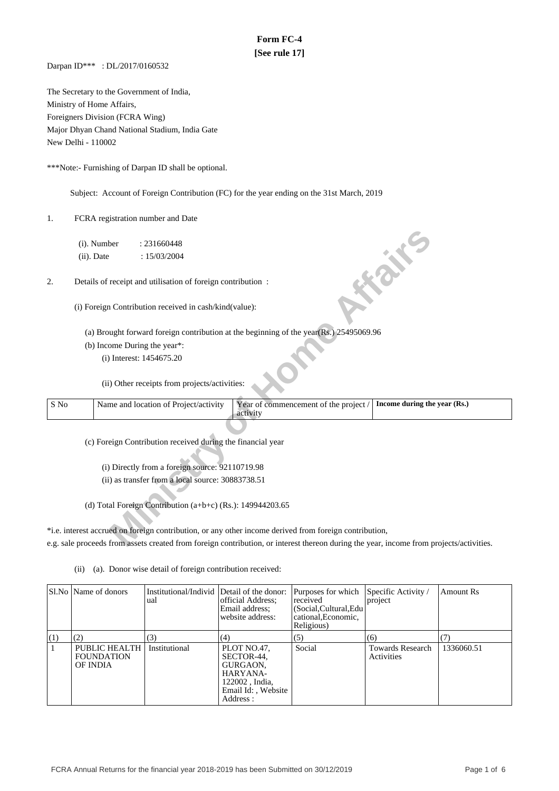## **Form FC-4 [See rule 17]**

Darpan ID\*\*\* : DL/2017/0160532

The Secretary to the Government of India, Ministry of Home Affairs, Foreigners Division (FCRA Wing) Major Dhyan Chand National Stadium, India Gate New Delhi - 110002

\*\*\*Note:- Furnishing of Darpan ID shall be optional.

Subject: Account of Foreign Contribution (FC) for the year ending on the 31st March, 2019

1. FCRA registration number and Date

- (a) Brought forward foreign contribution at the beginning of the year(Rs.) 25495069.96
- (b) Income During the year\*:

|      | (i). Number   | : 231660448                                                 |                                                                                                                                         |                              |
|------|---------------|-------------------------------------------------------------|-----------------------------------------------------------------------------------------------------------------------------------------|------------------------------|
|      | $(ii)$ . Date | : 15/03/2004                                                |                                                                                                                                         |                              |
| 2.   |               | Details of receipt and utilisation of foreign contribution: |                                                                                                                                         | <b>FOR THE</b>               |
|      |               | (i) Foreign Contribution received in cash/kind(value):      |                                                                                                                                         |                              |
|      |               |                                                             | (a) Brought forward foreign contribution at the beginning of the year(Rs.) 25495069.96                                                  |                              |
|      |               | (b) Income During the year*:                                |                                                                                                                                         |                              |
|      |               | (i) Interest: 1454675.20                                    |                                                                                                                                         |                              |
|      |               | (ii) Other receipts from projects/activities:               |                                                                                                                                         |                              |
| S No |               | Name and location of Project/activity                       | Year of commencement of the project /<br>activity                                                                                       | Income during the year (Rs.) |
|      |               | (c) Foreign Contribution received during the financial year |                                                                                                                                         |                              |
|      |               | (i) Directly from a foreign source: 92110719.98             |                                                                                                                                         |                              |
|      |               | (ii) as transfer from a local source: 30883738.51           |                                                                                                                                         |                              |
|      |               | (d) Total Foreign Contribution (a+b+c) (Rs.): 149944203.65  |                                                                                                                                         |                              |
|      |               |                                                             | *i.e. interest accrued on foreign contribution, or any other income derived from foreign contribution,                                  |                              |
|      |               |                                                             | e.g. sale proceeds from assets created from foreign contribution, or interest thereon during the year, income from projects/activities. |                              |

\*i.e. interest accrued on foreign contribution, or any other income derived from foreign contribution, e.g. sale proceeds from assets created from foreign contribution, or interest thereon during the year, income from projects/activities.

(ii) (a). Donor wise detail of foreign contribution received:

|     | Sl.No   Name of donors                                | Institutional/Individ Detail of the donor:<br>ual | official Address:<br>Email address;<br>website address:                                                 | Purposes for which<br>received<br>(Social, Cultural, Edu<br>cational. Economic.<br>Religious) | Specific Activity /<br>project        | Amount Rs  |
|-----|-------------------------------------------------------|---------------------------------------------------|---------------------------------------------------------------------------------------------------------|-----------------------------------------------------------------------------------------------|---------------------------------------|------------|
| (1) | (2)                                                   | (3)                                               | (4)                                                                                                     | (5)                                                                                           | (6)                                   |            |
|     | <b>PUBLIC HEALTH</b><br><b>FOUNDATION</b><br>OF INDIA | Institutional                                     | PLOT NO.47,<br>SECTOR-44.<br>GURGAON.<br>HARYANA-<br>122002, India,<br>Email Id: . Website<br>Address : | Social                                                                                        | <b>Towards Research</b><br>Activities | 1336060.51 |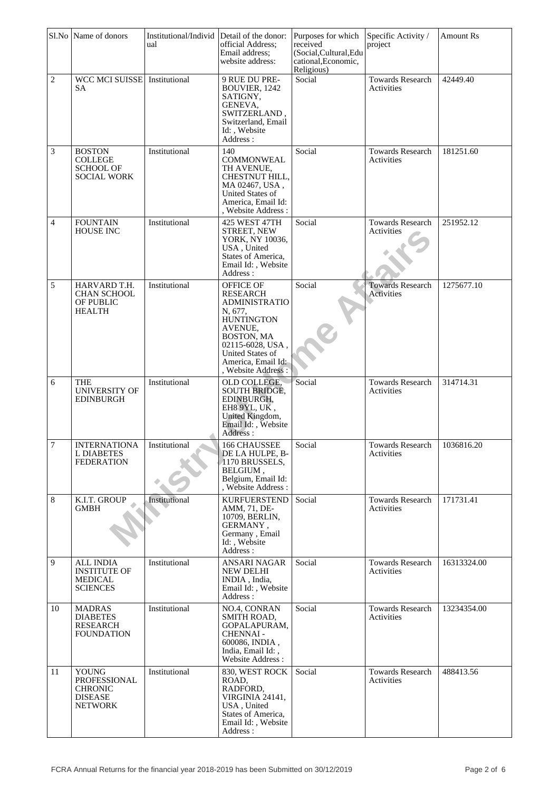|                | Sl.No Name of donors                                                         | Institutional/Individ<br>ual | Detail of the donor:<br>official Address;<br>Email address;<br>website address:                                                                                                                    | Purposes for which<br>received<br>(Social, Cultural, Edu<br>cational, Economic,<br>Religious) | Specific Activity /<br>project        | <b>Amount Rs</b> |
|----------------|------------------------------------------------------------------------------|------------------------------|----------------------------------------------------------------------------------------------------------------------------------------------------------------------------------------------------|-----------------------------------------------------------------------------------------------|---------------------------------------|------------------|
| $\overline{c}$ | WCC MCI SUISSE<br>SА                                                         | Institutional                | 9 RUE DU PRE-<br>BOUVIER, 1242<br>SATIGNY,<br>GENEVA,<br>SWITZERLAND,<br>Switzerland, Email<br>Id:, Website<br>Address:                                                                            | Social                                                                                        | <b>Towards Research</b><br>Activities | 42449.40         |
| $\mathfrak{Z}$ | <b>BOSTON</b><br><b>COLLEGE</b><br><b>SCHOOL OF</b><br><b>SOCIAL WORK</b>    | Institutional                | 140<br><b>COMMONWEAL</b><br>TH AVENUE,<br>CHESTNUT HILL,<br>MA 02467, USA,<br>United States of<br>America, Email Id:<br>, Website Address:                                                         | Social                                                                                        | <b>Towards Research</b><br>Activities | 181251.60        |
| $\overline{4}$ | <b>FOUNTAIN</b><br><b>HOUSE INC</b>                                          | Institutional                | 425 WEST 47TH<br>STREET, NEW<br>YORK, NY 10036,<br>USA, United<br>States of America,<br>Email Id:, Website<br>Address:                                                                             | Social                                                                                        | <b>Towards Research</b><br>Activities | 251952.12        |
| 5              | HARVARD T.H.<br><b>CHAN SCHOOL</b><br>OF PUBLIC<br><b>HEALTH</b>             | Institutional                | <b>OFFICE OF</b><br>RESEARCH<br><b>ADMINISTRATIO</b><br>N, 677,<br><b>HUNTINGTON</b><br>AVENUE,<br>BOSTON, MA<br>02115-6028, USA,<br>United States of<br>America, Email Id:<br>, Website Address : | Social                                                                                        | <b>Towards Research</b><br>Activities | 1275677.10       |
| 6              | THE<br><b>UNIVERSITY OF</b><br><b>EDINBURGH</b>                              | Institutional                | OLD COLLEGE.<br><b>SOUTH BRIDGE,</b><br>EDINBURGH.<br>EH8 9YL, UK,<br>United Kingdom,<br>Email Id:, Website<br>Address:                                                                            | Social                                                                                        | Towards Research<br>Activities        | 314714.31        |
| $\overline{7}$ | <b>INTERNATIONA</b><br><b>L DIABETES</b><br><b>FEDERATION</b>                | Institutional                | 166 CHAUSSEE<br>DE LA HULPE, B-<br>1170 BRUSSELS,<br>BELGIUM,<br>Belgium, Email Id:<br>, Website Address :                                                                                         | Social                                                                                        | <b>Towards Research</b><br>Activities | 1036816.20       |
| 8              | K.I.T. GROUP<br><b>GMBH</b>                                                  | Institutional                | <b>KURFUERSTEND</b><br>AMM, 71, DE-<br>10709, BERLIN,<br>GERMANY,<br>Germany, Email<br>Id:, Website<br>Address:                                                                                    | Social                                                                                        | <b>Towards Research</b><br>Activities | 171731.41        |
| 9              | <b>ALL INDIA</b><br><b>INSTITUTE OF</b><br><b>MEDICAL</b><br><b>SCIENCES</b> | Institutional                | <b>ANSARI NAGAR</b><br>NEW DELHI<br>INDIA, India,<br>Email Id:, Website<br>Address:                                                                                                                | Social                                                                                        | <b>Towards Research</b><br>Activities | 16313324.00      |
| 10             | <b>MADRAS</b><br><b>DIABETES</b><br><b>RESEARCH</b><br>FOUNDATION            | Institutional                | NO.4, CONRAN<br>SMITH ROAD,<br>GOPALAPURAM,<br><b>CHENNAI-</b><br>600086, INDIA,<br>India, Email Id:,<br>Website Address:                                                                          | Social                                                                                        | <b>Towards Research</b><br>Activities | 13234354.00      |
| 11             | <b>YOUNG</b><br>PROFESSIONAL<br><b>CHRONIC</b><br><b>DISEASE</b><br>NETWORK  | Institutional                | 830, WEST ROCK<br>ROAD,<br>RADFORD,<br>VIRGINIA 24141,<br>USA, United<br>States of America,<br>Email Id:, Website<br>Address :                                                                     | Social                                                                                        | <b>Towards Research</b><br>Activities | 488413.56        |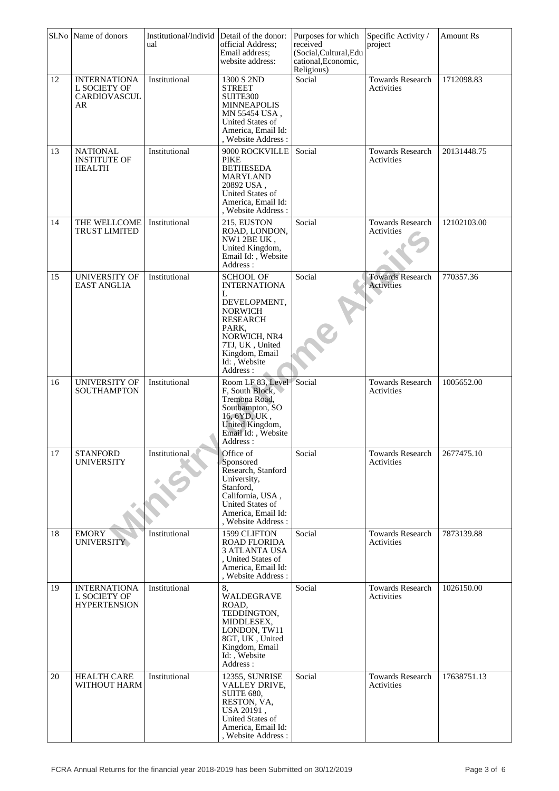|    | Sl.No Name of donors                                             | Institutional/Individ Detail of the donor:<br>ual | official Address:<br>Email address;<br>website address:                                                                                                                                     | Purposes for which<br>received<br>(Social, Cultural, Edu<br>cational, Economic,<br>Religious) | Specific Activity /<br>project        | <b>Amount Rs</b> |
|----|------------------------------------------------------------------|---------------------------------------------------|---------------------------------------------------------------------------------------------------------------------------------------------------------------------------------------------|-----------------------------------------------------------------------------------------------|---------------------------------------|------------------|
| 12 | <b>INTERNATIONA</b><br>L SOCIETY OF<br><b>CARDIOVASCUL</b><br>AR | Institutional                                     | 1300 S 2ND<br><b>STREET</b><br>SUITE300<br>MINNEAPOLIS<br>MN 55454 USA,<br>United States of<br>America, Email Id:<br>, Website Address :                                                    | Social                                                                                        | <b>Towards Research</b><br>Activities | 1712098.83       |
| 13 | <b>NATIONAL</b><br><b>INSTITUTE OF</b><br><b>HEALTH</b>          | Institutional                                     | 9000 ROCKVILLE<br><b>PIKE</b><br><b>BETHESEDA</b><br>MARYLAND<br>20892 USA,<br>United States of<br>America, Email Id:<br>, Website Address:                                                 | Social                                                                                        | Towards Research<br>Activities        | 20131448.75      |
| 14 | THE WELLCOME<br><b>TRUST LIMITED</b>                             | Institutional                                     | 215, EUSTON<br>ROAD, LONDON,<br>NW1 2BE UK,<br>United Kingdom,<br>Email Id:, Website<br>Address:                                                                                            | Social                                                                                        | <b>Towards Research</b><br>Activities | 12102103.00      |
| 15 | <b>UNIVERSITY OF</b><br>EAST ANGLIA                              | Institutional                                     | <b>SCHOOL OF</b><br><b>INTERNATIONA</b><br>L<br>DEVELOPMENT,<br><b>NORWICH</b><br><b>RESEARCH</b><br>PARK,<br>NORWICH, NR4<br>7TJ, UK, United<br>Kingdom, Email<br>Id:, Website<br>Address: | Social                                                                                        | <b>Towards Research</b><br>Activities | 770357.36        |
| 16 | UNIVERSITY OF<br><b>SOUTHAMPTON</b>                              | Institutional                                     | Room LF 83, Level<br>F. South Block,<br>Tremona Road.<br>Southampton, SO<br>16, 6YD, UK,<br>United Kingdom,<br>Email Id:, Website<br>Address:                                               | Social                                                                                        | Towards Research<br>Activities        | 1005652.00       |
| 17 | <b>STANFORD</b><br><b>UNIVERSITY</b>                             | Institutional                                     | Office of<br>Sponsored<br>Research, Stanford<br>University,<br>Stanford,<br>California, USA,<br><b>United States of</b><br>America, Email Id:<br>, Website Address:                         | Social                                                                                        | <b>Towards Research</b><br>Activities | 2677475.10       |
| 18 | <b>EMORY</b><br><b>UNIVERSITY</b>                                | Institutional                                     | 1599 CLIFTON<br><b>ROAD FLORIDA</b><br><b>3 ATLANTA USA</b><br>, United States of<br>America, Email Id:<br>, Website Address:                                                               | Social                                                                                        | Towards Research<br>Activities        | 7873139.88       |
| 19 | <b>INTERNATIONA</b><br>L SOCIETY OF<br><b>HYPERTENSION</b>       | Institutional                                     | 8,<br>WALDEGRAVE<br>ROAD,<br>TEDDINGTON,<br>MIDDLESEX,<br>LONDON, TW11<br>8GT, UK, United<br>Kingdom, Email<br>Id: , Website<br>Address:                                                    | Social                                                                                        | <b>Towards Research</b><br>Activities | 1026150.00       |
| 20 | <b>HEALTH CARE</b><br>WITHOUT HARM                               | Institutional                                     | 12355, SUNRISE<br>VALLEY DRIVE,<br><b>SUITE 680,</b><br>RESTON, VA,<br>USA 20191,<br>United States of<br>America, Email Id:<br>, Website Address :                                          | Social                                                                                        | <b>Towards Research</b><br>Activities | 17638751.13      |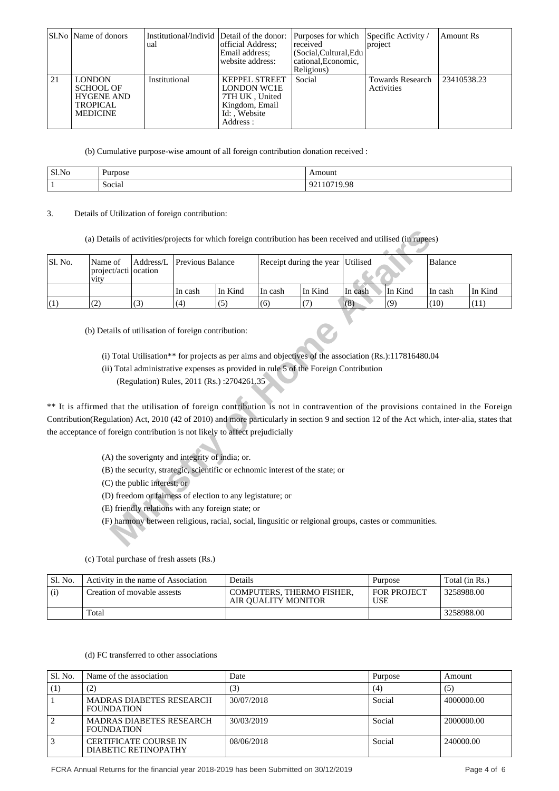|    | SI.No   Name of donors                                                                       | Institutional/Individ Detail of the donor:<br>ual | official Address:<br>Email address:<br>website address:                                                    | Purposes for which Specific Activity /<br>received<br>(Social, Cultural, Edu<br>cational. Economic.<br>Religious) | project                               | Amount Rs   |
|----|----------------------------------------------------------------------------------------------|---------------------------------------------------|------------------------------------------------------------------------------------------------------------|-------------------------------------------------------------------------------------------------------------------|---------------------------------------|-------------|
| 21 | <b>LONDON</b><br><b>SCHOOL OF</b><br><b>HYGENE AND</b><br><b>TROPICAL</b><br><b>MEDICINE</b> | Institutional                                     | <b>KEPPEL STREET</b><br><b>LONDON WC1E</b><br>7TH UK, United<br>Kingdom, Email<br>Id: Website<br>Address : | Social                                                                                                            | <b>Towards Research</b><br>Activities | 23410538.23 |

(b) Cumulative purpose-wise amount of all foreign contribution donation received :

| Sl.No | Purpose          | Amount                         |
|-------|------------------|--------------------------------|
|       | $\sim$<br>Social | '19.98<br>.<br>. .<br>101<br>. |

3. Details of Utilization of foreign contribution:

| Sl. No. | Name of<br>project/acti ocation<br>vity                                                                                                     | Address/L                   | Previous Balance |                                                            |         | Receipt during the year                                                                                                                                                                       | Utilised |         | <b>Balance</b> |         |
|---------|---------------------------------------------------------------------------------------------------------------------------------------------|-----------------------------|------------------|------------------------------------------------------------|---------|-----------------------------------------------------------------------------------------------------------------------------------------------------------------------------------------------|----------|---------|----------------|---------|
|         |                                                                                                                                             |                             | In cash          | In Kind                                                    | In cash | In Kind                                                                                                                                                                                       | In cash  | In Kind | In cash        | In Kind |
| (1)     | (2)                                                                                                                                         | (3)                         | (4)              | (5)                                                        | (6)     | (7)                                                                                                                                                                                           | (8)      | (9)     | (10)           | (11)    |
|         | ** It is affirmed that the utilisation of foreign contribution is not in contravention of the provisions contained in the Foreign           |                             |                  | (Regulation) Rules, 2011 (Rs.):2704261.35                  |         | (i) Total Utilisation** for projects as per aims and objectives of the association (Rs.):117816480.04<br>(ii) Total administrative expenses as provided in rule 5 of the Foreign Contribution |          |         |                |         |
|         | Contribution(Regulation) Act, 2010 (42 of 2010) and more particularly in section 9 and section 12 of the Act which, inter-alia, states that |                             |                  |                                                            |         |                                                                                                                                                                                               |          |         |                |         |
|         | the acceptance of foreign contribution is not likely to affect prejudicially                                                                |                             |                  | (A) the soverignty and integrity of india; or.             |         | (B) the security, strategic, scientific or echnomic interest of the state; or                                                                                                                 |          |         |                |         |
|         |                                                                                                                                             | (C) the public interest; or |                  |                                                            |         |                                                                                                                                                                                               |          |         |                |         |
|         |                                                                                                                                             |                             |                  | (D) freedom or fairness of election to any legistature; or |         |                                                                                                                                                                                               |          |         |                |         |
|         |                                                                                                                                             |                             |                  | (E) friendly relations with any foreign state; or          |         |                                                                                                                                                                                               |          |         |                |         |
|         |                                                                                                                                             |                             |                  |                                                            |         | (F) harmony between religious, racial, social, lingusitic or relgional groups, castes or communities.                                                                                         |          |         |                |         |

| Sl. No. | Activity in the name of Association | Details                                          | Purpose                          | Total (in Rs.) |
|---------|-------------------------------------|--------------------------------------------------|----------------------------------|----------------|
| (i)     | Creation of movable assests         | COMPUTERS, THERMO FISHER,<br>AIR OUALITY MONITOR | <b>FOR PROJECT</b><br><b>USE</b> | 3258988.00     |
|         | Total                               |                                                  |                                  | 3258988.00     |

(c) Total purchase of fresh assets (Rs.)

(d) FC transferred to other associations

| Sl. No. | Name of the association                              | Date       | Purpose | Amount     |
|---------|------------------------------------------------------|------------|---------|------------|
| (1)     | (2)                                                  | (3)        | (4)     | (5)        |
|         | <b>MADRAS DIABETES RESEARCH</b><br><b>FOUNDATION</b> | 30/07/2018 | Social  | 4000000.00 |
|         | <b>MADRAS DIABETES RESEARCH</b><br><b>FOUNDATION</b> | 30/03/2019 | Social  | 2000000.00 |
| 3       | <b>CERTIFICATE COURSE IN</b><br>DIABETIC RETINOPATHY | 08/06/2018 | Social  | 240000.00  |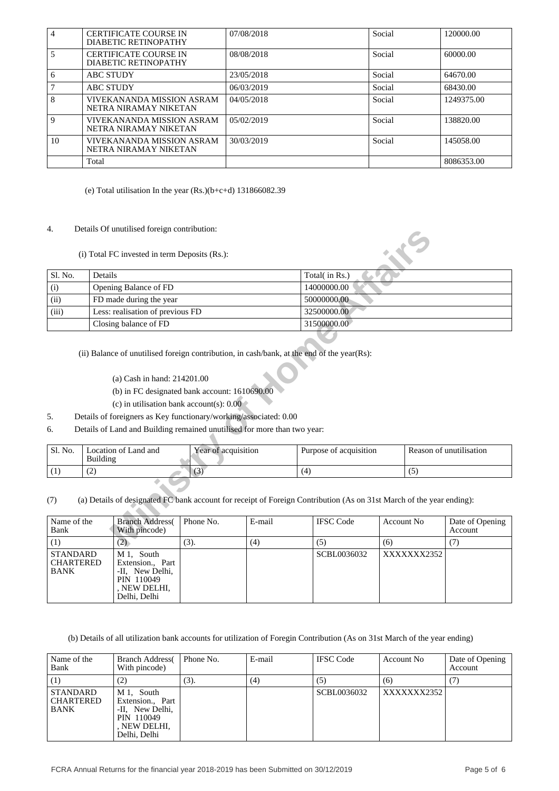| $\overline{\mathbf{4}}$                     |                                           | <b>CERTIFICATE COURSE IN</b><br>DIABETIC RETINOPATHY                                                                                                          |                     | 07/08/2018                                                                                                                                    |                                                                                                                            | Social |             | 120000.00                  |
|---------------------------------------------|-------------------------------------------|---------------------------------------------------------------------------------------------------------------------------------------------------------------|---------------------|-----------------------------------------------------------------------------------------------------------------------------------------------|----------------------------------------------------------------------------------------------------------------------------|--------|-------------|----------------------------|
| 5                                           |                                           | <b>CERTIFICATE COURSE IN</b><br>DIABETIC RETINOPATHY                                                                                                          |                     | 08/08/2018                                                                                                                                    |                                                                                                                            | Social |             | 60000.00                   |
| 6                                           | <b>ABC STUDY</b>                          |                                                                                                                                                               |                     | 23/05/2018                                                                                                                                    |                                                                                                                            | Social |             | 64670.00                   |
| 7                                           | <b>ABC STUDY</b>                          |                                                                                                                                                               |                     | 06/03/2019                                                                                                                                    |                                                                                                                            | Social |             | 68430.00                   |
| 8                                           |                                           | VIVEKANANDA MISSION ASRAM<br>NETRA NIRAMAY NIKETAN                                                                                                            |                     | 04/05/2018                                                                                                                                    |                                                                                                                            | Social |             | 1249375.00                 |
| 9                                           |                                           | VIVEKANANDA MISSION ASRAM<br>NETRA NIRAMAY NIKETAN                                                                                                            |                     | 05/02/2019                                                                                                                                    |                                                                                                                            | Social |             | 138820.00                  |
| 10                                          |                                           | VIVEKANANDA MISSION ASRAM<br>NETRA NIRAMAY NIKETAN                                                                                                            |                     | 30/03/2019                                                                                                                                    |                                                                                                                            | Social |             | 145058.00                  |
|                                             | Total                                     |                                                                                                                                                               |                     |                                                                                                                                               |                                                                                                                            |        |             | 8086353.00                 |
| 4.                                          |                                           | (e) Total utilisation In the year $(Rs.)(b+c+d)$ 131866082.39<br>Details Of unutilised foreign contribution:<br>(i) Total FC invested in term Deposits (Rs.): |                     |                                                                                                                                               |                                                                                                                            |        |             |                            |
| Sl. No.                                     | Details                                   |                                                                                                                                                               |                     |                                                                                                                                               | Total(in Rs.)                                                                                                              |        |             |                            |
| (i)                                         |                                           | Opening Balance of FD                                                                                                                                         |                     |                                                                                                                                               | 14000000.00                                                                                                                |        |             |                            |
|                                             | (ii)<br>FD made during the year           |                                                                                                                                                               |                     | 50000000.00                                                                                                                                   |                                                                                                                            |        |             |                            |
|                                             | Less: realisation of previous FD<br>(iii) |                                                                                                                                                               |                     | 32500000.00                                                                                                                                   |                                                                                                                            |        |             |                            |
| Closing balance of FD<br>31500000.00        |                                           |                                                                                                                                                               |                     |                                                                                                                                               |                                                                                                                            |        |             |                            |
| 5.<br>6.                                    |                                           | (a) Cash in hand: 214201.00<br>(b) in FC designated bank account: 1610690.00<br>(c) in utilisation bank account(s): $0.00$                                    |                     | Details of foreigners as Key functionary/working/associated: 0.00<br>Details of Land and Building remained unutilised for more than two year: | (ii) Balance of unutilised foreign contribution, in cash/bank, at the end of the year(Rs):                                 |        |             |                            |
| Sl. No.                                     | <b>Building</b>                           | Location of Land and                                                                                                                                          | Year of acquisition |                                                                                                                                               | Purpose of acquisition                                                                                                     |        |             | Reason of unutilisation    |
| (1)                                         | (2)                                       |                                                                                                                                                               | (3)                 |                                                                                                                                               | (4)                                                                                                                        |        | (5)         |                            |
| (7)                                         |                                           |                                                                                                                                                               |                     |                                                                                                                                               | (a) Details of designated FC bank account for receipt of Foreign Contribution (As on 31st March of the year ending):       |        |             |                            |
| Name of the<br>Bank                         |                                           | <b>Branch Address</b><br>With pincode)                                                                                                                        | Phone No.           | E-mail                                                                                                                                        | <b>IFSC</b> Code                                                                                                           |        | Account No  | Date of Opening<br>Account |
| (1)                                         |                                           | (2)                                                                                                                                                           | (3).                | (4)                                                                                                                                           | (5)                                                                                                                        | (6)    |             | (7)                        |
| <b>STANDARD</b><br><b>CHARTERED</b><br>BANK |                                           | M 1, South<br>Extension., Part<br>-II, New Delhi,<br>PIN 110049<br>, NEW DELHI,<br>Delhi, Delhi                                                               |                     |                                                                                                                                               | SCBL0036032                                                                                                                |        | XXXXXXX2352 |                            |
|                                             |                                           |                                                                                                                                                               |                     |                                                                                                                                               | (b) Details of all utilization bank accounts for utilization of Foregin Contribution (As on 31st March of the year ending) |        |             |                            |

## 4. Details Of unutilised foreign contribution:

| Sl. No.<br>(i)<br>(ii)<br>(iii)   | Details<br>Opening Balance of FD<br>FD made during the year<br>Less: realisation of previous FD<br>Closing balance of FD<br>(ii) Balance of unutilised foreign contribution, in cash/bank, at the end of the year(Rs):                                                      |                     |               |     | Total(in Rs.)<br>14000000.00<br>50000000.00<br>32500000.00<br>31500000.00 |     |                   |                                   |
|-----------------------------------|-----------------------------------------------------------------------------------------------------------------------------------------------------------------------------------------------------------------------------------------------------------------------------|---------------------|---------------|-----|---------------------------------------------------------------------------|-----|-------------------|-----------------------------------|
|                                   |                                                                                                                                                                                                                                                                             |                     |               |     |                                                                           |     |                   |                                   |
|                                   |                                                                                                                                                                                                                                                                             |                     |               |     |                                                                           |     |                   |                                   |
|                                   |                                                                                                                                                                                                                                                                             |                     |               |     |                                                                           |     |                   |                                   |
|                                   |                                                                                                                                                                                                                                                                             |                     |               |     |                                                                           |     |                   |                                   |
|                                   |                                                                                                                                                                                                                                                                             |                     |               |     |                                                                           |     |                   |                                   |
| 5.<br>6.                          | (a) Cash in hand: 214201.00<br>(b) in FC designated bank account: 1610690.00<br>(c) in utilisation bank account(s): $0.00$<br>Details of foreigners as Key functionary/working/associated: 0.00<br>Details of Land and Building remained unutilised for more than two year: |                     |               |     |                                                                           |     |                   |                                   |
| Sl. No.                           | Location of Land and<br><b>Building</b>                                                                                                                                                                                                                                     | Year of acquisition |               |     | Purpose of acquisition                                                    |     |                   | Reason of unutilisation           |
| (1)<br>(2)                        |                                                                                                                                                                                                                                                                             | (3)                 |               | (4) |                                                                           |     | (5)               |                                   |
| (7)<br>Name of the<br>Bank<br>(1) | (a) Details of designated FC bank account for receipt of Foreign Contribution (As on 31st March of the year ending):<br><b>Branch Address</b><br>With pincode)<br>(2)                                                                                                       | Phone No.<br>(3).   | E-mail<br>(4) |     | <b>IFSC</b> Code<br>(5)                                                   | (6) | <b>Account No</b> | Date of Opening<br>Account<br>(7) |

- (a) Cash in hand: 214201.00
- (b) in FC designated bank account: 1610690.00
- (c) in utilisation bank account(s): 0.00
- 5. Details of foreigners as Key functionary/working/associated: 0.00
- 6. Details of Land and Building remained unutilised for more than two year:

| Sl. No. | Location of Land and<br>Building | Year of acquisition | Purpose of acquisition | Reason of unutilisation |
|---------|----------------------------------|---------------------|------------------------|-------------------------|
|         | . <u>. .</u>                     | $\sqrt{2}$          |                        |                         |

| Name of the<br>Bank                         | <b>Branch Address</b><br>With pincode)                                                          | Phone No. | E-mail | <b>IFSC</b> Code | Account No  | Date of Opening<br>Account |
|---------------------------------------------|-------------------------------------------------------------------------------------------------|-----------|--------|------------------|-------------|----------------------------|
|                                             | (2)                                                                                             | (3).      | (4)    | (5)              | (6)         |                            |
| <b>STANDARD</b><br><b>CHARTERED</b><br>BANK | M 1, South<br>Extension., Part<br>-II, New Delhi,<br>PIN 110049<br>, NEW DELHI,<br>Delhi, Delhi |           |        | SCBL0036032      | XXXXXXX2352 |                            |

| Name of the<br>Bank                                | <b>Branch Address</b><br>With pincode)                                                          | Phone No. | E-mail | <b>IFSC</b> Code | Account No  | Date of Opening<br>Account |
|----------------------------------------------------|-------------------------------------------------------------------------------------------------|-----------|--------|------------------|-------------|----------------------------|
|                                                    | (2)                                                                                             | (3).      | (4)    | (5)              | (6)         |                            |
| <b>STANDARD</b><br><b>CHARTERED</b><br><b>BANK</b> | M 1. South<br>Extension., Part<br>-II, New Delhi,<br>PIN 110049<br>, NEW DELHI,<br>Delhi, Delhi |           |        | SCBL0036032      | XXXXXXX2352 |                            |